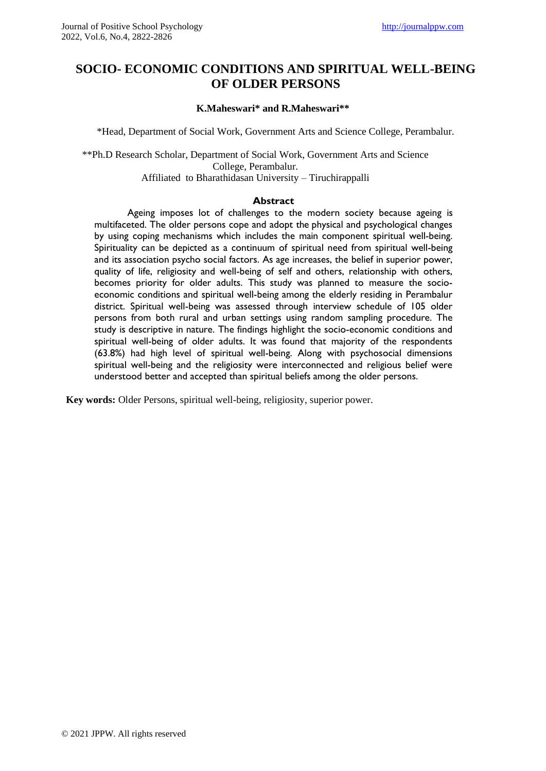# **SOCIO- ECONOMIC CONDITIONS AND SPIRITUAL WELL-BEING OF OLDER PERSONS**

#### **K.Maheswari\* and R.Maheswari\*\***

\*Head, Department of Social Work, Government Arts and Science College, Perambalur.

\*\*Ph.D Research Scholar, Department of Social Work, Government Arts and Science College, Perambalur. Affiliated to Bharathidasan University – Tiruchirappalli

#### **Abstract**

Ageing imposes lot of challenges to the modern society because ageing is multifaceted. The older persons cope and adopt the physical and psychological changes by using coping mechanisms which includes the main component spiritual well-being. Spirituality can be depicted as a continuum of spiritual need from spiritual well-being and its association psycho social factors. As age increases, the belief in superior power, quality of life, religiosity and well-being of self and others, relationship with others, becomes priority for older adults. This study was planned to measure the socioeconomic conditions and spiritual well-being among the elderly residing in Perambalur district. Spiritual well-being was assessed through interview schedule of 105 older persons from both rural and urban settings using random sampling procedure. The study is descriptive in nature. The findings highlight the socio-economic conditions and spiritual well-being of older adults. It was found that majority of the respondents (63.8%) had high level of spiritual well-being. Along with psychosocial dimensions spiritual well-being and the religiosity were interconnected and religious belief were understood better and accepted than spiritual beliefs among the older persons.

**Key words:** Older Persons, spiritual well-being, religiosity, superior power.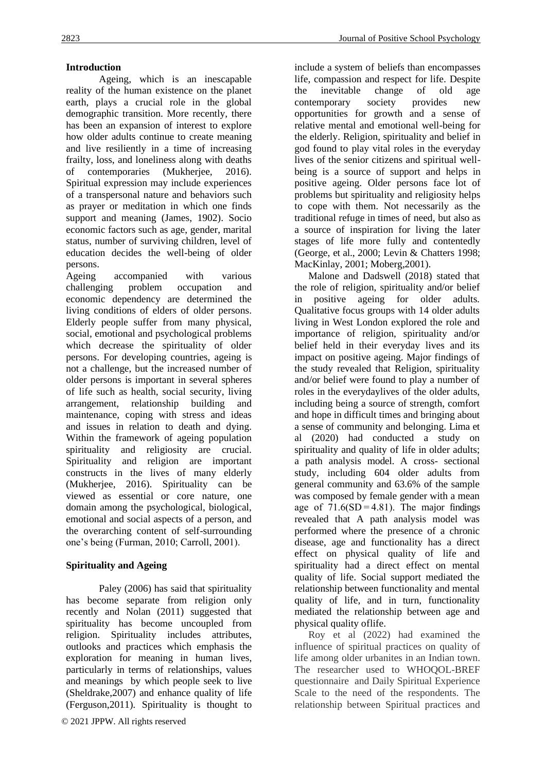### **Introduction**

Ageing, which is an inescapable reality of the human existence on the planet earth, plays a crucial role in the global demographic transition. More recently, there has been an expansion of interest to explore how older adults continue to create meaning and live resiliently in a time of increasing frailty, loss, and loneliness along with deaths of contemporaries (Mukherjee, 2016). Spiritual expression may include experiences of a transpersonal nature and behaviors such as prayer or meditation in which one finds support and meaning (James, 1902). Socio economic factors such as age, gender, marital status, number of surviving children, level of education decides the well-being of older persons.

Ageing accompanied with various challenging problem occupation and economic dependency are determined the living conditions of elders of older persons. Elderly people suffer from many physical, social, emotional and psychological problems which decrease the spirituality of older persons. For developing countries, ageing is not a challenge, but the increased number of older persons is important in several spheres of life such as health, social security, living arrangement, relationship building and maintenance, coping with stress and ideas and issues in relation to death and dying. Within the framework of ageing population spirituality and religiosity are crucial. Spirituality and religion are important constructs in the lives of many elderly (Mukherjee, 2016). Spirituality can be viewed as essential or core nature, one domain among the psychological, biological, emotional and social aspects of a person, and the overarching content of self-surrounding one's being (Furman, 2010; Carroll, 2001).

## **Spirituality and Ageing**

Paley (2006) has said that spirituality has become separate from religion only recently and Nolan (2011) suggested that spirituality has become uncoupled from religion. Spirituality includes attributes, outlooks and practices which emphasis the exploration for meaning in human lives, particularly in terms of relationships, values and meanings by which people seek to live (Sheldrake,2007) and enhance quality of life (Ferguson,2011). Spirituality is thought to

include a system of beliefs than encompasses life, compassion and respect for life. Despite the inevitable change of old age contemporary society provides new opportunities for growth and a sense of relative mental and emotional well-being for the elderly. Religion, spirituality and belief in god found to play vital roles in the everyday lives of the senior citizens and spiritual wellbeing is a source of support and helps in positive ageing. Older persons face lot of problems but spirituality and religiosity helps to cope with them. Not necessarily as the traditional refuge in times of need, but also as a source of inspiration for living the later stages of life more fully and contentedly (George, et al., 2000; Levin & Chatters 1998; MacKinlay, 2001; Moberg,2001).

Malone and Dadswell (2018) stated that the role of religion, spirituality and/or belief in positive ageing for older adults. Qualitative focus groups with 14 older adults living in West London explored the role and importance of religion, spirituality and/or belief held in their everyday lives and its impact on positive ageing. Major findings of the study revealed that Religion, spirituality and/or belief were found to play a number of roles in the everydaylives of the older adults, including being a source of strength, comfort and hope in difficult times and bringing about a sense of community and belonging. Lima et al (2020) had conducted a study on spirituality and quality of life in older adults; a path analysis model. A cross- sectional study, including 604 older adults from general community and 63.6% of the sample was composed by female gender with a mean age of  $71.6(SD = 4.81)$ . The major findings revealed that A path analysis model was performed where the presence of a chronic disease, age and functionality has a direct effect on physical quality of life and spirituality had a direct effect on mental quality of life. Social support mediated the relationship between functionality and mental quality of life, and in turn, functionality mediated the relationship between age and physical quality oflife.

Roy et al (2022) had examined the influence of spiritual practices on quality of life among older urbanites in an Indian town. The researcher used to WHOQOL-BREF questionnaire and Daily Spiritual Experience Scale to the need of the respondents. The relationship between Spiritual practices and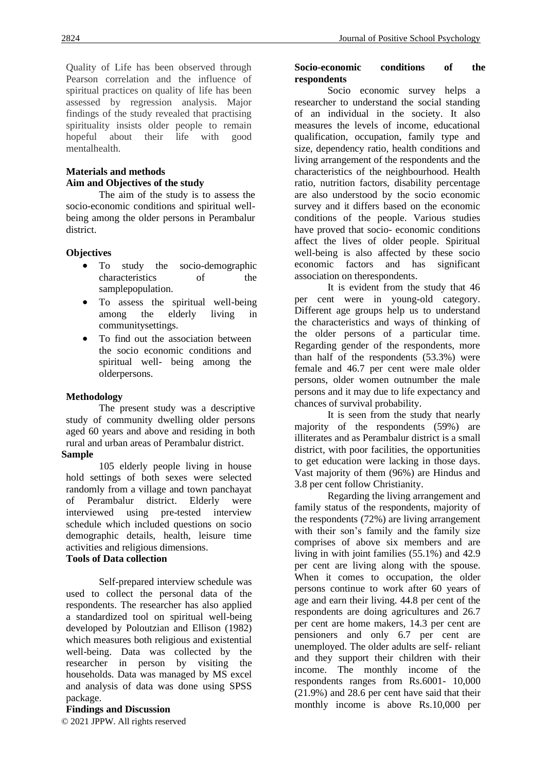Quality of Life has been observed through Pearson correlation and the influence of spiritual practices on quality of life has been assessed by regression analysis. Major findings of the study revealed that practising spirituality insists older people to remain<br>hopeful about their life with good hopeful about their life with mentalhealth.

### **Materials and methods Aim and Objectives of the study**

The aim of the study is to assess the socio-economic conditions and spiritual wellbeing among the older persons in Perambalur district.

#### **Objectives**

- To study the socio-demographic characteristics of the samplepopulation.
- To assess the spiritual well-being among the elderly living in communitysettings.
- To find out the association between the socio economic conditions and spiritual well- being among the olderpersons.

#### **Methodology**

The present study was a descriptive study of community dwelling older persons aged 60 years and above and residing in both rural and urban areas of Perambalur district. **Sample**

105 elderly people living in house hold settings of both sexes were selected randomly from a village and town panchayat of Perambalur district. Elderly were interviewed using pre-tested interview schedule which included questions on socio demographic details, health, leisure time activities and religious dimensions.

### **Tools of Data collection**

Self-prepared interview schedule was used to collect the personal data of the respondents. The researcher has also applied a standardized tool on spiritual well-being developed by Poloutzian and Ellison (1982) which measures both religious and existential well-being. Data was collected by the researcher in person by visiting the households. Data was managed by MS excel and analysis of data was done using SPSS package.

### **Findings and Discussion**

© 2021 JPPW. All rights reserved

#### **Socio-economic conditions of the respondents**

Socio economic survey helps a researcher to understand the social standing of an individual in the society. It also measures the levels of income, educational qualification, occupation, family type and size, dependency ratio, health conditions and living arrangement of the respondents and the characteristics of the neighbourhood. Health ratio, nutrition factors, disability percentage are also understood by the socio economic survey and it differs based on the economic conditions of the people. Various studies have proved that socio- economic conditions affect the lives of older people. Spiritual well-being is also affected by these socio economic factors and has significant association on therespondents.

It is evident from the study that 46 per cent were in young-old category. Different age groups help us to understand the characteristics and ways of thinking of the older persons of a particular time. Regarding gender of the respondents, more than half of the respondents (53.3%) were female and 46.7 per cent were male older persons, older women outnumber the male persons and it may due to life expectancy and chances of survival probability.

It is seen from the study that nearly majority of the respondents (59%) are illiterates and as Perambalur district is a small district, with poor facilities, the opportunities to get education were lacking in those days. Vast majority of them (96%) are Hindus and 3.8 per cent follow Christianity.

Regarding the living arrangement and family status of the respondents, majority of the respondents (72%) are living arrangement with their son's family and the family size comprises of above six members and are living in with joint families (55.1%) and 42.9 per cent are living along with the spouse. When it comes to occupation, the older persons continue to work after 60 years of age and earn their living. 44.8 per cent of the respondents are doing agricultures and 26.7 per cent are home makers, 14.3 per cent are pensioners and only 6.7 per cent are unemployed. The older adults are self- reliant and they support their children with their income. The monthly income of the respondents ranges from Rs.6001- 10,000 (21.9%) and 28.6 per cent have said that their monthly income is above Rs.10,000 per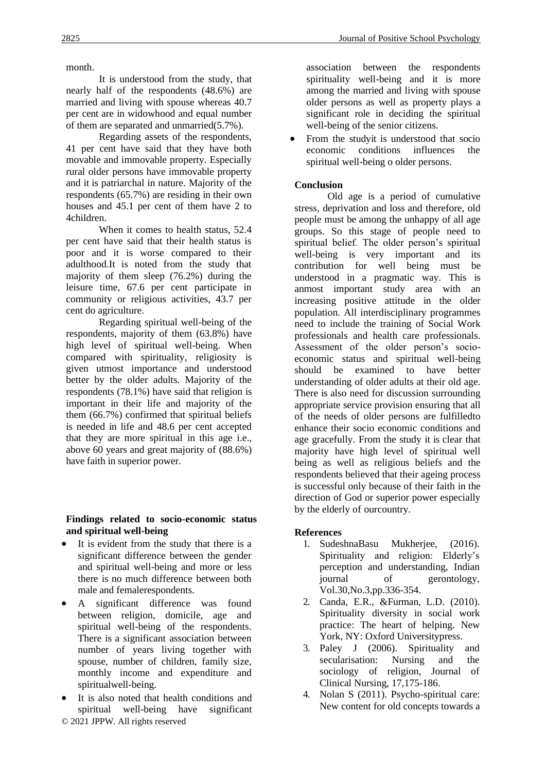month.

It is understood from the study, that nearly half of the respondents (48.6%) are married and living with spouse whereas 40.7 per cent are in widowhood and equal number of them are separated and unmarried(5.7%).

Regarding assets of the respondents, 41 per cent have said that they have both movable and immovable property. Especially rural older persons have immovable property and it is patriarchal in nature. Majority of the respondents (65.7%) are residing in their own houses and 45.1 per cent of them have 2 to 4children.

When it comes to health status, 52.4 per cent have said that their health status is poor and it is worse compared to their adulthood.It is noted from the study that majority of them sleep (76.2%) during the leisure time, 67.6 per cent participate in community or religious activities, 43.7 per cent do agriculture.

Regarding spiritual well-being of the respondents, majority of them (63.8%) have high level of spiritual well-being. When compared with spirituality, religiosity is given utmost importance and understood better by the older adults. Majority of the respondents (78.1%) have said that religion is important in their life and majority of the them (66.7%) confirmed that spiritual beliefs is needed in life and 48.6 per cent accepted that they are more spiritual in this age i.e., above 60 years and great majority of (88.6%) have faith in superior power.

### **Findings related to socio-economic status and spiritual well-being**

- It is evident from the study that there is a significant difference between the gender and spiritual well-being and more or less there is no much difference between both male and femalerespondents.
- A significant difference was found between religion, domicile, age and spiritual well-being of the respondents. There is a significant association between number of years living together with spouse, number of children, family size, monthly income and expenditure and spiritualwell-being.
- © 2021 JPPW. All rights reserved It is also noted that health conditions and spiritual well-being have significant

association between the respondents spirituality well-being and it is more among the married and living with spouse older persons as well as property plays a significant role in deciding the spiritual well-being of the senior citizens.

• From the studyit is understood that socio economic conditions influences the spiritual well-being o older persons.

### **Conclusion**

Old age is a period of cumulative stress, deprivation and loss and therefore, old people must be among the unhappy of all age groups. So this stage of people need to spiritual belief. The older person's spiritual well-being is very important and its contribution for well being must be understood in a pragmatic way. This is anmost important study area with an increasing positive attitude in the older population. All interdisciplinary programmes need to include the training of Social Work professionals and health care professionals. Assessment of the older person's socioeconomic status and spiritual well-being should be examined to have better understanding of older adults at their old age. There is also need for discussion surrounding appropriate service provision ensuring that all of the needs of older persons are fulfilledto enhance their socio economic conditions and age gracefully. From the study it is clear that majority have high level of spiritual well being as well as religious beliefs and the respondents believed that their ageing process is successful only because of their faith in the direction of God or superior power especially by the elderly of ourcountry.

### **References**

- 1. SudeshnaBasu Mukherjee, (2016). Spirituality and religion: Elderly's perception and understanding, Indian journal of gerontology, Vol.30,No.3,pp.336-354.
- 2. Canda, E.R., &Furman, L.D. (2010). Spirituality diversity in social work practice: The heart of helping. New York, NY: Oxford Universitypress.
- 3. Paley J (2006). Spirituality and secularisation: Nursing and the sociology of religion, Journal of Clinical Nursing, 17,175-186.
- 4. Nolan S (2011). Psycho-spiritual care: New content for old concepts towards a